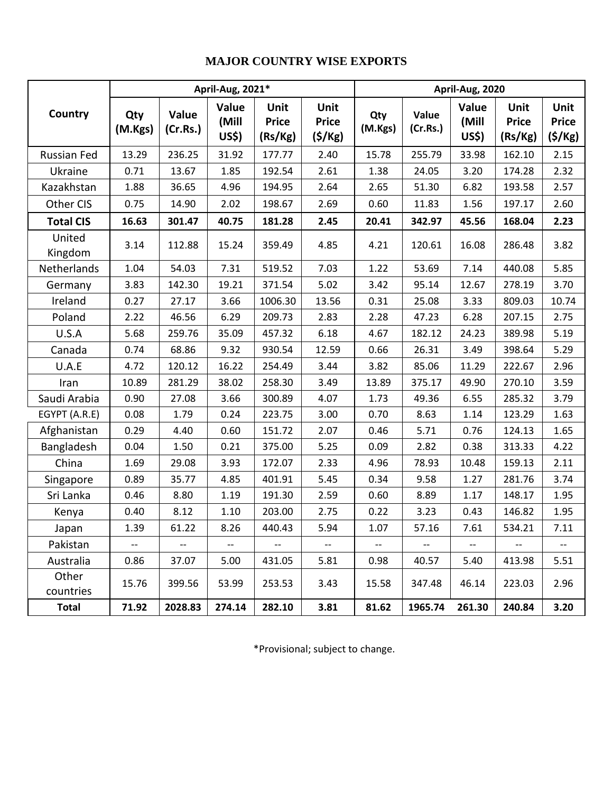## **MAJOR COUNTRY WISE EXPORTS**

|                    |                | April-Aug, 2021*         | April-Aug, 2020          |                                 |                                       |                          |                          |                          |                                 |                                |
|--------------------|----------------|--------------------------|--------------------------|---------------------------------|---------------------------------------|--------------------------|--------------------------|--------------------------|---------------------------------|--------------------------------|
| Country            | Qty<br>(M.Kgs) | Value<br>(Cr.Rs.)        | Value<br>(Mill<br>US\$)  | Unit<br><b>Price</b><br>(Rs/Kg) | Unit<br><b>Price</b><br>$($ \$/Kg $)$ | Qty<br>(M.Kgs)           | Value<br>(Cr.Rs.)        | Value<br>(Mill<br>US\$)  | Unit<br><b>Price</b><br>(Rs/Kg) | Unit<br><b>Price</b><br>(5/Kg) |
| Russian Fed        | 13.29          | 236.25                   | 31.92                    | 177.77                          | 2.40                                  | 15.78                    | 255.79                   | 33.98                    | 162.10                          | 2.15                           |
| Ukraine            | 0.71           | 13.67                    | 1.85                     | 192.54                          | 2.61                                  | 1.38                     | 24.05                    | 3.20                     | 174.28                          | 2.32                           |
| Kazakhstan         | 1.88           | 36.65                    | 4.96                     | 194.95                          | 2.64                                  | 2.65                     | 51.30                    | 6.82                     | 193.58                          | 2.57                           |
| Other CIS          | 0.75           | 14.90                    | 2.02                     | 198.67                          | 2.69                                  | 0.60                     | 11.83                    | 1.56                     | 197.17                          | 2.60                           |
| <b>Total CIS</b>   | 16.63          | 301.47                   | 40.75                    | 181.28                          | 2.45                                  | 20.41                    | 342.97                   | 45.56                    | 168.04                          | 2.23                           |
| United<br>Kingdom  | 3.14           | 112.88                   | 15.24                    | 359.49                          | 4.85                                  | 4.21                     | 120.61                   | 16.08                    | 286.48                          | 3.82                           |
| Netherlands        | 1.04           | 54.03                    | 7.31                     | 519.52                          | 7.03                                  | 1.22                     | 53.69                    | 7.14                     | 440.08                          | 5.85                           |
| Germany            | 3.83           | 142.30                   | 19.21                    | 371.54                          | 5.02                                  | 3.42                     | 95.14                    | 12.67                    | 278.19                          | 3.70                           |
| Ireland            | 0.27           | 27.17                    | 3.66                     | 1006.30                         | 13.56                                 | 0.31                     | 25.08                    | 3.33                     | 809.03                          | 10.74                          |
| Poland             | 2.22           | 46.56                    | 6.29                     | 209.73                          | 2.83                                  | 2.28                     | 47.23                    | 6.28                     | 207.15                          | 2.75                           |
| U.S.A              | 5.68           | 259.76                   | 35.09                    | 457.32                          | 6.18                                  | 4.67                     | 182.12                   | 24.23                    | 389.98                          | 5.19                           |
| Canada             | 0.74           | 68.86                    | 9.32                     | 930.54                          | 12.59                                 | 0.66                     | 26.31                    | 3.49                     | 398.64                          | 5.29                           |
| U.A.E              | 4.72           | 120.12                   | 16.22                    | 254.49                          | 3.44                                  | 3.82                     | 85.06                    | 11.29                    | 222.67                          | 2.96                           |
| Iran               | 10.89          | 281.29                   | 38.02                    | 258.30                          | 3.49                                  | 13.89                    | 375.17                   | 49.90                    | 270.10                          | 3.59                           |
| Saudi Arabia       | 0.90           | 27.08                    | 3.66                     | 300.89                          | 4.07                                  | 1.73                     | 49.36                    | 6.55                     | 285.32                          | 3.79                           |
| EGYPT (A.R.E)      | 0.08           | 1.79                     | 0.24                     | 223.75                          | 3.00                                  | 0.70                     | 8.63                     | 1.14                     | 123.29                          | 1.63                           |
| Afghanistan        | 0.29           | 4.40                     | 0.60                     | 151.72                          | 2.07                                  | 0.46                     | 5.71                     | 0.76                     | 124.13                          | 1.65                           |
| Bangladesh         | 0.04           | 1.50                     | 0.21                     | 375.00                          | 5.25                                  | 0.09                     | 2.82                     | 0.38                     | 313.33                          | 4.22                           |
| China              | 1.69           | 29.08                    | 3.93                     | 172.07                          | 2.33                                  | 4.96                     | 78.93                    | 10.48                    | 159.13                          | 2.11                           |
| Singapore          | 0.89           | 35.77                    | 4.85                     | 401.91                          | 5.45                                  | 0.34                     | 9.58                     | 1.27                     | 281.76                          | 3.74                           |
| Sri Lanka          | 0.46           | 8.80                     | 1.19                     | 191.30                          | 2.59                                  | 0.60                     | 8.89                     | 1.17                     | 148.17                          | 1.95                           |
| Kenya              | 0.40           | 8.12                     | 1.10                     | 203.00                          | 2.75                                  | 0.22                     | 3.23                     | 0.43                     | 146.82                          | 1.95                           |
| Japan              | 1.39           | 61.22                    | 8.26                     | 440.43                          | 5.94                                  | 1.07                     | 57.16                    | 7.61                     | 534.21                          | 7.11                           |
| Pakistan           | $-$            | $\overline{\phantom{a}}$ | $\overline{\phantom{a}}$ | $\overline{\phantom{a}}$        | $-$                                   | $\overline{\phantom{a}}$ | $\overline{\phantom{a}}$ | $\overline{\phantom{a}}$ |                                 |                                |
| Australia          | 0.86           | 37.07                    | 5.00                     | 431.05                          | 5.81                                  | 0.98                     | 40.57                    | 5.40                     | 413.98                          | 5.51                           |
| Other<br>countries | 15.76          | 399.56                   | 53.99                    | 253.53                          | 3.43                                  | 15.58                    | 347.48                   | 46.14                    | 223.03                          | 2.96                           |
| <b>Total</b>       | 71.92          | 2028.83                  | 274.14                   | 282.10                          | 3.81                                  | 81.62                    | 1965.74                  | 261.30                   | 240.84                          | 3.20                           |

\*Provisional; subject to change.